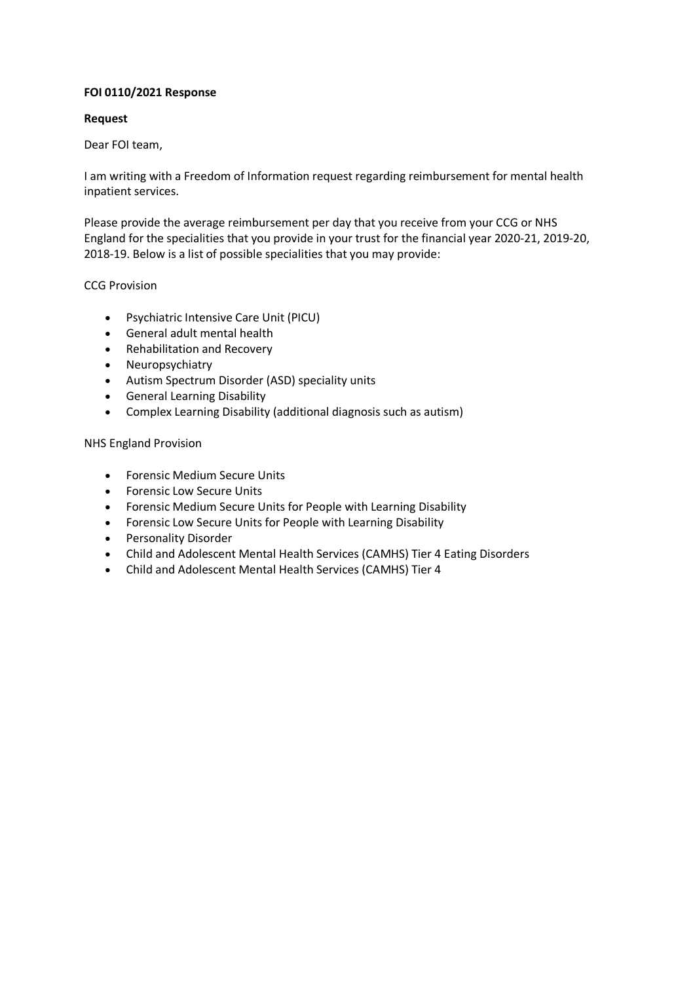### **FOI 0110/2021 Response**

## **Request**

## Dear FOI team,

I am writing with a Freedom of Information request regarding reimbursement for mental health inpatient services.

Please provide the average reimbursement per day that you receive from your CCG or NHS England for the specialities that you provide in your trust for the financial year 2020-21, 2019-20, 2018-19. Below is a list of possible specialities that you may provide:

# CCG Provision

- Psychiatric Intensive Care Unit (PICU)
- General adult mental health
- Rehabilitation and Recovery
- Neuropsychiatry
- Autism Spectrum Disorder (ASD) speciality units
- General Learning Disability
- Complex Learning Disability (additional diagnosis such as autism)

# NHS England Provision

- Forensic Medium Secure Units
- Forensic Low Secure Units
- Forensic Medium Secure Units for People with Learning Disability
- Forensic Low Secure Units for People with Learning Disability
- Personality Disorder
- Child and Adolescent Mental Health Services (CAMHS) Tier 4 Eating Disorders
- Child and Adolescent Mental Health Services (CAMHS) Tier 4